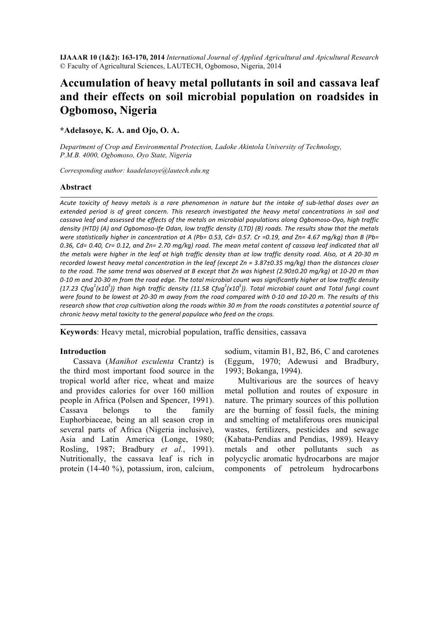**IJAAAR 10 (1&2): 163-170, 2014** *International Journal of Applied Agricultural and Apicultural Research* © Faculty of Agricultural Sciences, LAUTECH, Ogbomoso, Nigeria, 2014

# **Accumulation of heavy metal pollutants in soil and cassava leaf and their effects on soil microbial population on roadsides in Ogbomoso, Nigeria**

**\*Adelasoye, K. A. and Ojo, O. A.** 

*Department of Crop and Environmental Protection, Ladoke Akintola University of Technology, P.M.B. 4000, Ogbomoso, Oyo State, Nigeria*

*Corresponding author: kaadelasoye@lautech.edu.ng*

#### **Abstract**

Acute toxicity of heavy metals is a rare phenomenon in nature but the intake of sub-lethal doses over an *extended period is of great concern. This research investigated the heavy metal concentrations in soil and* cassava leaf and assessed the effects of the metals on microbial populations along Ogbomoso-Oyo, high traffic *density* (HTD) (A) and Ogbomoso-Ife Odan, low traffic density (LTD) (B) roads. The results show that the metals *were statistically higher* in concentration at A (Pb= 0.53, Cd= 0.57. Cr =0.19, and Zn= 4.67 mg/kg) than B (Pb= 0.36, Cd= 0.40, Cr= 0.12, and Zn= 2.70 mg/kg) road. The mean metal content of cassava leaf indicated that all *the metals were higher in the leaf at high traffic density than at low traffic density road. Also, at A 20-30 m recorded lowest heavy metal concentration in the leaf (except Zn = 3.87±0.35 mg/kg)* than the distances closer *to* the road. The same trend was observed at B except that Zn was highest (2.90±0.20 mg/kg) at 10-20 m than 0-10 *m* and 20-30 *m* from the road edge. The total microbial count was significantly higher at low traffic density (17.23 Cfug<sup>1</sup>(x10<sup>5</sup>)) than high traffic density (11.58 Cfug<sup>1</sup>(x10<sup>5</sup>)). Total microbial count and Total fungi count *were found to be lowest at 20-30 m away from the road compared with 0-10 and 10-20 m. The results of this research show that crop cultivation along the roads within 30 m from the roads constitutes a potential source of chronic heavy metal toxicity to the general populace who feed on the crops.* 

**Keywords**: Heavy metal, microbial population, traffic densities, cassava

#### **Introduction**

Cassava (*Manihot esculenta* Crantz) is the third most important food source in the tropical world after rice, wheat and maize and provides calories for over 160 million people in Africa (Polsen and Spencer, 1991). Cassava belongs to the family Euphorbiaceae, being an all season crop in several parts of Africa (Nigeria inclusive), Asia and Latin America (Longe, 1980; Rosling, 1987; Bradbury *et al.*, 1991). Nutritionally, the cassava leaf is rich in protein (14-40 %), potassium, iron, calcium,

sodium, vitamin B1, B2, B6, C and carotenes (Eggum, 1970; Adewusi and Bradbury, 1993; Bokanga, 1994).

Multivarious are the sources of heavy metal pollution and routes of exposure in nature. The primary sources of this pollution are the burning of fossil fuels, the mining and smelting of metaliferous ores municipal wastes, fertilizers, pesticides and sewage (Kabata-Pendias and Pendias, 1989). Heavy metals and other pollutants such as polycyclic aromatic hydrocarbons are major components of petroleum hydrocarbons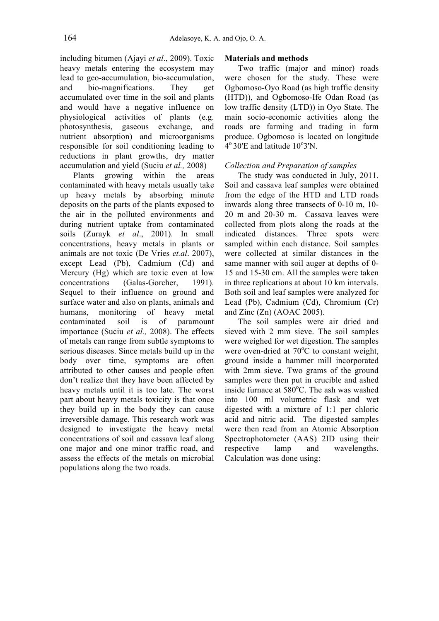including bitumen (Ajayi *et al*., 2009). Toxic heavy metals entering the ecosystem may lead to geo-accumulation, bio-accumulation, and bio-magnifications. They get accumulated over time in the soil and plants and would have a negative influence on physiological activities of plants (e.g. photosynthesis, gaseous exchange, and nutrient absorption) and microorganisms responsible for soil conditioning leading to reductions in plant growths, dry matter accumulation and yield (Suciu *et al.,* 2008)

Plants growing within the areas contaminated with heavy metals usually take up heavy metals by absorbing minute deposits on the parts of the plants exposed to the air in the polluted environments and during nutrient uptake from contaminated soils (Zurayk *et al*., 2001). In small concentrations, heavy metals in plants or animals are not toxic (De Vries *et.al*. 2007), except Lead (Pb), Cadmium (Cd) and Mercury (Hg) which are toxic even at low concentrations (Galas-Gorcher, 1991). Sequel to their influence on ground and surface water and also on plants, animals and humans, monitoring of heavy metal contaminated soil is of paramount importance (Suciu *et al.,* 2008). The effects of metals can range from subtle symptoms to serious diseases. Since metals build up in the body over time, symptoms are often attributed to other causes and people often don't realize that they have been affected by heavy metals until it is too late. The worst part about heavy metals toxicity is that once they build up in the body they can cause irreversible damage. This research work was designed to investigate the heavy metal concentrations of soil and cassava leaf along one major and one minor traffic road, and assess the effects of the metals on microbial populations along the two roads.

## **Materials and methods**

Two traffic (major and minor) roads were chosen for the study. These were Ogbomoso-Oyo Road (as high traffic density (HTD)), and Ogbomoso-Ife Odan Road (as low traffic density (LTD)) in Oyo State. The main socio-economic activities along the roads are farming and trading in farm produce. Ogbomoso is located on longitude  $4^{\circ}$  30'E and latitude 10 $^{\circ}$ 3'N.

## *Collection and Preparation of samples*

The study was conducted in July, 2011. Soil and cassava leaf samples were obtained from the edge of the HTD and LTD roads inwards along three transects of 0-10 m, 10- 20 m and 20-30 m. Cassava leaves were collected from plots along the roads at the indicated distances. Three spots were sampled within each distance. Soil samples were collected at similar distances in the same manner with soil auger at depths of 0- 15 and 15-30 cm. All the samples were taken in three replications at about 10 km intervals. Both soil and leaf samples were analyzed for Lead (Pb), Cadmium (Cd), Chromium (Cr) and Zinc  $(Zn)$  (AOAC 2005).

The soil samples were air dried and sieved with 2 mm sieve. The soil samples were weighed for wet digestion. The samples were oven-dried at  $70^{\circ}$ C to constant weight, ground inside a hammer mill incorporated with 2mm sieve. Two grams of the ground samples were then put in crucible and ashed inside furnace at  $580^{\circ}$ C. The ash was washed into 100 ml volumetric flask and wet digested with a mixture of 1:1 per chloric acid and nitric acid. The digested samples were then read from an Atomic Absorption Spectrophotometer (AAS) 2ID using their respective lamp and wavelengths. Calculation was done using: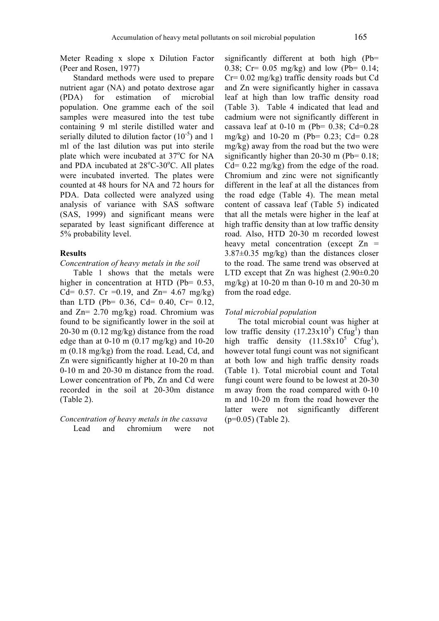Meter Reading x slope x Dilution Factor (Peer and Rosen, 1977)

Standard methods were used to prepare nutrient agar (NA) and potato dextrose agar (PDA) for estimation of microbial population. One gramme each of the soil samples were measured into the test tube containing 9 ml sterile distilled water and serially diluted to dilution factor  $(10^{-5})$  and 1 ml of the last dilution was put into sterile plate which were incubated at 37°C for NA and PDA incubated at  $28^{\circ}$ C-30 $^{\circ}$ C. All plates were incubated inverted. The plates were counted at 48 hours for NA and 72 hours for PDA. Data collected were analyzed using analysis of variance with SAS software (SAS, 1999) and significant means were separated by least significant difference at 5% probability level.

#### **Results**

## *Concentration of heavy metals in the soil*

Table 1 shows that the metals were higher in concentration at HTD (Pb= 0.53, Cd= 0.57. Cr = 0.19, and Zn= 4.67 mg/kg) than LTD (Pb= 0.36, Cd= 0.40, Cr= 0.12, and Zn= 2.70 mg/kg) road. Chromium was found to be significantly lower in the soil at 20-30 m (0.12 mg/kg) distance from the road edge than at 0-10 m (0.17 mg/kg) and 10-20 m (0.18 mg/kg) from the road. Lead, Cd, and Zn were significantly higher at 10-20 m than 0-10 m and 20-30 m distance from the road. Lower concentration of Pb, Zn and Cd were recorded in the soil at 20-30m distance (Table 2).

### *Concentration of heavy metals in the cassava* Lead and chromium were not

significantly different at both high (Pb= 0.38; Cr= 0.05 mg/kg) and low (Pb= 0.14; Cr= 0.02 mg/kg) traffic density roads but Cd and Zn were significantly higher in cassava leaf at high than low traffic density road (Table 3). Table 4 indicated that lead and cadmium were not significantly different in cassava leaf at  $0-10$  m (Pb=  $0.38$ ; Cd= $0.28$ mg/kg) and 10-20 m (Pb= 0.23; Cd= 0.28 mg/kg) away from the road but the two were significantly higher than 20-30 m (Pb=  $0.18$ ;  $Cd = 0.22$  mg/kg) from the edge of the road. Chromium and zinc were not significantly different in the leaf at all the distances from the road edge (Table 4). The mean metal content of cassava leaf (Table 5) indicated that all the metals were higher in the leaf at high traffic density than at low traffic density road. Also, HTD 20-30 m recorded lowest heavy metal concentration (except  $Zn =$ 3.87±0.35 mg/kg) than the distances closer to the road. The same trend was observed at LTD except that Zn was highest  $(2.90\pm0.20)$ mg/kg) at 10-20 m than 0-10 m and 20-30 m from the road edge.

#### *Total microbial population*

The total microbial count was higher at low traffic density  $(17.23 \times 10^5)$  Cfug<sup>1</sup>) than high traffic density  $(11.58 \times 10^5 \text{ C} \text{fug}^1)$ , however total fungi count was not significant at both low and high traffic density roads (Table 1). Total microbial count and Total fungi count were found to be lowest at 20-30 m away from the road compared with 0-10 m and 10-20 m from the road however the latter were not significantly different (p=0.05) (Table 2).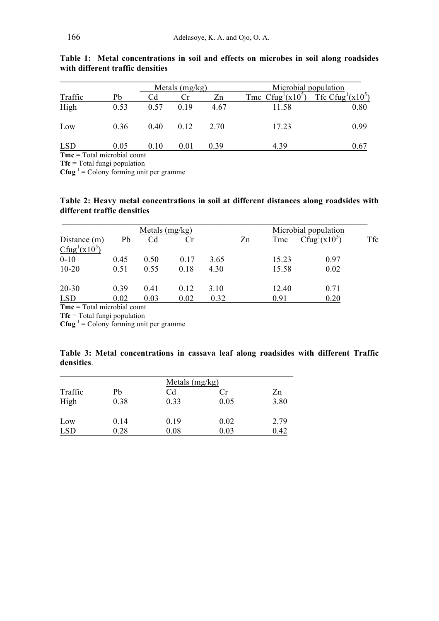|            |      |      | Metals $(mg/kg)$ |      | Microbial population                |      |  |
|------------|------|------|------------------|------|-------------------------------------|------|--|
| Traffic    | Pb   | Сd   | Cr.              | Zn   | Tmc $Cfug1(x105)$ Tfc $Cfug1(x105)$ |      |  |
| High       | 0.53 | 0.57 | 0.19             | 4.67 | 11.58                               | 0.80 |  |
| Low        | 0.36 | 0.40 | 0.12             | 2.70 | 17.23                               | 0.99 |  |
| <b>LSD</b> | 0.05 | 0.10 | 0.01             | 0.39 | 4.39                                | 0.67 |  |

**Table 1: Metal concentrations in soil and effects on microbes in soil along roadsides with different traffic densities**

**Tmc** = Total microbial count

**Tfc** = Total fungi population

 $Cfug^{-1} = Colony$  forming unit per gramme

## **Table 2: Heavy metal concentrations in soil at different distances along roadsides with different traffic densities**

|                                       |      | Metals $(mg/kg)$ |      |      |    | Microbial population |                                       |     |
|---------------------------------------|------|------------------|------|------|----|----------------------|---------------------------------------|-----|
| Distance (m)                          | Pb   | Cd               | Cr   |      | Zn | Tmc                  | Cfug <sup>1</sup> (x10 <sup>5</sup> ) | Tfc |
| Cfug <sup>1</sup> (x10 <sup>5</sup> ) |      |                  |      |      |    |                      |                                       |     |
| $0 - 10$                              | 0.45 | 0.50             | 0.17 | 3.65 |    | 15.23                | 0.97                                  |     |
| $10 - 20$                             | 0.51 | 0.55             | 0.18 | 4.30 |    | 15.58                | 0.02                                  |     |
| $20 - 30$                             | 0.39 | 0.41             | 0.12 | 3.10 |    | 12.40                | 0.71                                  |     |
| <b>LSD</b>                            | 0.02 | 0.03             | 0.02 | 0.32 |    | 0.91                 | 0.20                                  |     |

**Tmc** = Total microbial count

**Tfc** = Total fungi population

 $Cfug^{-1} = Colony$  forming unit per gramme

|            | Table 3: Metal concentrations in cassava leaf along roadsides with different Traffic |  |  |  |  |
|------------|--------------------------------------------------------------------------------------|--|--|--|--|
| densities. |                                                                                      |  |  |  |  |

|            |      | Metals $(mg/kg)$ |      |      |
|------------|------|------------------|------|------|
| Traffic    | Pb   | Сd               | l `r | Zn   |
| High       | 0.38 | 0.33             | 0.05 | 3.80 |
| Low        | 0.14 | 0.19             | 0.02 | 2.79 |
| <b>LSD</b> | 0.28 | 0.08             | 0.03 | 0.42 |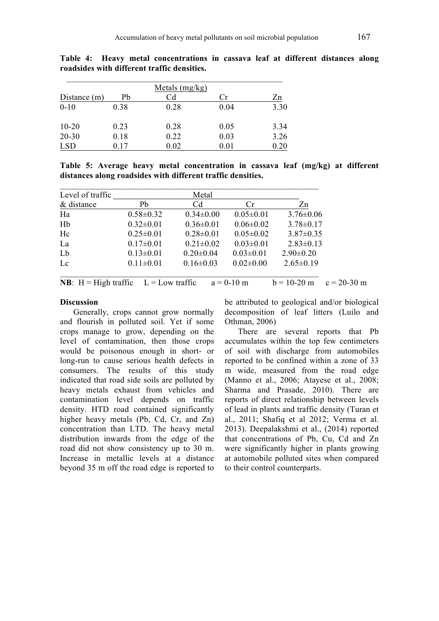|                |      | Metals $(mg/kg)$ |          |            |
|----------------|------|------------------|----------|------------|
| Distance $(m)$ | Pb   | Cd               | ∴r       | Zn         |
| $0 - 10$       | 0.38 | 0.28             | 0.04     | 3.30       |
| $10 - 20$      | 0.23 | 0.28             | 0.05     | 3.34       |
| $20 - 30$      | 0.18 | 0.22             | 0.03     | 3.26       |
| <b>LSD</b>     | 0 17 | 0.02             | $0.01\,$ | $\rm 0.20$ |

**Table 4: Heavy metal concentrations in cassava leaf at different distances along roadsides with different traffic densities.**

**Table 5: Average heavy metal concentration in cassava leaf (mg/kg) at different distances along roadsides with different traffic densities.**

| Level of traffic                                 |                 | Metal           |                 |                 |               |
|--------------------------------------------------|-----------------|-----------------|-----------------|-----------------|---------------|
| & distance                                       | Pb              | Cd              | Cr              | Zn              |               |
| Ha                                               | $0.58 \pm 0.32$ | $0.34 \pm 0.00$ | $0.05 \pm 0.01$ | $3.76 \pm 0.06$ |               |
| Hb                                               | $0.32 \pm 0.01$ | $0.36 \pm 0.01$ | $0.06 \pm 0.02$ | $3.78 \pm 0.17$ |               |
| Hc                                               | $0.25 \pm 0.01$ | $0.28 \pm 0.01$ | $0.05 \pm 0.02$ | $3.87 \pm 0.35$ |               |
| La                                               | $0.17 \pm 0.01$ | $0.21 \pm 0.02$ | $0.03 \pm 0.01$ | $2.83 \pm 0.13$ |               |
| Lb                                               | $0.13 \pm 0.01$ | $0.20 \pm 0.04$ | $0.03 \pm 0.01$ | $2.90 \pm 0.20$ |               |
| Lc                                               | $0.11 \pm 0.01$ | $0.16 \pm 0.03$ | $0.02 \pm 0.00$ | $2.65 \pm 0.19$ |               |
| <b>NB</b> : $H = High traffic$ $L = Low traffic$ |                 |                 | $a = 0-10$ m    | $b = 10-20$ m   | $c = 20-30$ m |

#### **Discussion**

Generally, crops cannot grow normally and flourish in polluted soil. Yet if some crops manage to grow, depending on the level of contamination, then those crops would be poisonous enough in short- or long-run to cause serious health defects in consumers. The results of this study indicated that road side soils are polluted by heavy metals exhaust from vehicles and contamination level depends on traffic density. HTD road contained significantly higher heavy metals (Pb, Cd, Cr, and Zn) concentration than LTD. The heavy metal distribution inwards from the edge of the road did not show consistency up to 30 m. Increase in metallic levels at a distance beyond 35 m off the road edge is reported to

be attributed to geological and/or biological decomposition of leaf litters (Luilo and Othman, 2006)

There are several reports that Pb accumulates within the top few centimeters of soil with discharge from automobiles reported to be confined within a zone of 33 m wide, measured from the road edge (Manno et al., 2006; Atayese et al., 2008; Sharma and Prasade, 2010). There are reports of direct relationship between levels of lead in plants and traffic density (Turan et al., 2011; Shafiq et al 2012; Verma et al. 2013). Deepalakshmi et al., (2014) reported that concentrations of Pb, Cu, Cd and Zn were significantly higher in plants growing at automobile polluted sites when compared to their control counterparts.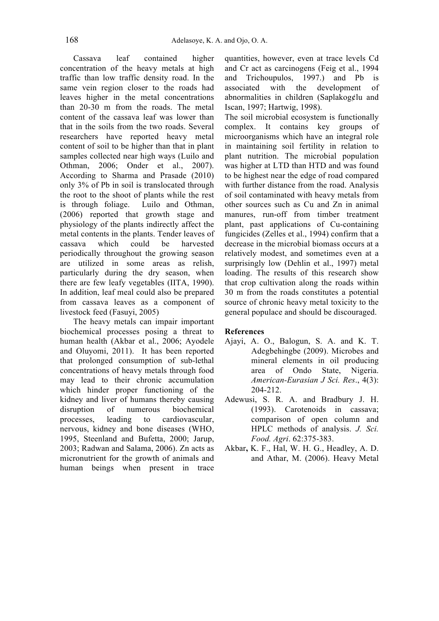Cassava leaf contained higher concentration of the heavy metals at high traffic than low traffic density road. In the same vein region closer to the roads had leaves higher in the metal concentrations than 20-30 m from the roads. The metal content of the cassava leaf was lower than that in the soils from the two roads. Several researchers have reported heavy metal content of soil to be higher than that in plant samples collected near high ways (Luilo and Othman, 2006; Onder et al., 2007). According to Sharma and Prasade (2010) only 3% of Pb in soil is translocated through the root to the shoot of plants while the rest is through foliage. Luilo and Othman, (2006) reported that growth stage and physiology of the plants indirectly affect the metal contents in the plants. Tender leaves of cassava which could be harvested periodically throughout the growing season are utilized in some areas as relish, particularly during the dry season, when there are few leafy vegetables (IITA, 1990). In addition, leaf meal could also be prepared from cassava leaves as a component of livestock feed (Fasuyi, 2005)

The heavy metals can impair important biochemical processes posing a threat to human health (Akbar et al., 2006; Ayodele and Oluyomi, 2011). It has been reported that prolonged consumption of sub-lethal concentrations of heavy metals through food may lead to their chronic accumulation which hinder proper functioning of the kidney and liver of humans thereby causing disruption of numerous biochemical processes, leading to cardiovascular, nervous, kidney and bone diseases (WHO, 1995, Steenland and Bufetta, 2000; Jarup, 2003; Radwan and Salama, 2006). Zn acts as micronutrient for the growth of animals and human beings when present in trace

quantities, however, even at trace levels Cd and Cr act as carcinogens (Feig et al., 1994 and Trichoupulos, 1997.) and Pb is associated with the development of abnormalities in children (Saplakog¢lu and Iscan, 1997; Hartwig, 1998).

The soil microbial ecosystem is functionally complex. It contains key groups of microorganisms which have an integral role in maintaining soil fertility in relation to plant nutrition. The microbial population was higher at LTD than HTD and was found to be highest near the edge of road compared with further distance from the road. Analysis of soil contaminated with heavy metals from other sources such as Cu and Zn in animal manures, run-off from timber treatment plant, past applications of Cu-containing fungicides (Zelles et al., 1994) confirm that a decrease in the microbial biomass occurs at a relatively modest, and sometimes even at a surprisingly low (Dehlin et al., 1997) metal loading. The results of this research show that crop cultivation along the roads within 30 m from the roads constitutes a potential source of chronic heavy metal toxicity to the general populace and should be discouraged.

## **References**

- Ajayi, A. O., Balogun, S. A. and K. T. Adegbehingbe (2009). Microbes and mineral elements in oil producing area of Ondo State, Nigeria. *American-Eurasian J Sci. Res*., 4(3): 204-212.
- Adewusi, S. R. A. and Bradbury J. H. (1993). Carotenoids in cassava; comparison of open column and HPLC methods of analysis. *J. Sci. Food. Agri*. 62:375-383.
- Akbar**,** K. F., Hal, W. H. G., Headley, A. D. and Athar, M. (2006). Heavy Metal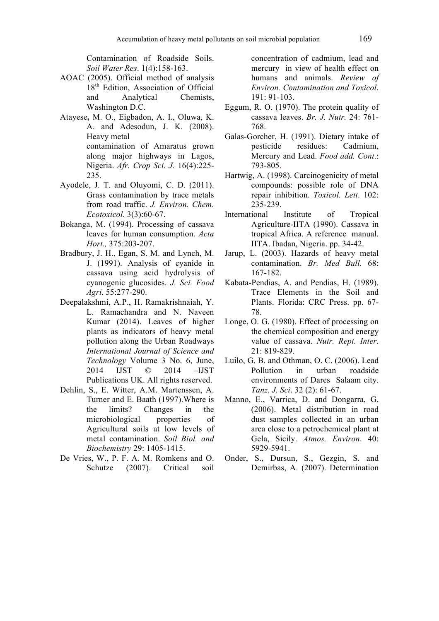Contamination of Roadside Soils. *Soil Water Res*. 1(4):158-163.

- AOAC (2005). Official method of analysis 18<sup>th</sup> Edition, Association of Official and Analytical Chemists, Washington D.C.
- Atayese**,** M. O., Eigbadon, A. I., Oluwa, K. A. and Adesodun, J. K. (2008). Heavy metal contamination of Amaratus grown along major highways in Lagos, Nigeria. *Afr. Crop Sci. J.* 16(4):225- 235.
- Ayodele, J. T. and Oluyomi, C. D. (2011). Grass contamination by trace metals from road traffic. *J. Environ. Chem. Ecotoxicol.* 3(3):60-67.
- Bokanga, M. (1994). Processing of cassava leaves for human consumption. *Acta Hort.,* 375:203-207.
- Bradbury, J. H., Egan, S. M. and Lynch, M. J. (1991). Analysis of cyanide in cassava using acid hydrolysis of cyanogenic glucosides. *J. Sci. Food Agri*. 55:277-290.
- Deepalakshmi, A.P., H. Ramakrishnaiah, Y. L. Ramachandra and N. Naveen Kumar (2014). Leaves of higher plants as indicators of heavy metal pollution along the Urban Roadways *International Journal of Science and Technology* Volume 3 No. 6, June, 2014 IJST © 2014 –IJST Publications UK. All rights reserved.
- Dehlin, S., E. Witter, A.M. Martenssen, A. Turner and E. Baath (1997).Where is the limits? Changes in the microbiological properties of Agricultural soils at low levels of metal contamination. *Soil Biol. and Biochemistry* 29: 1405-1415.
- De Vries, W., P. F. A. M. Romkens and O. Schutze (2007). Critical soil

concentration of cadmium, lead and mercury in view of health effect on humans and animals. *Review of Environ. Contamination and Toxicol*. 191: 91-103.

- Eggum, R. O. (1970). The protein quality of cassava leaves. *Br. J. Nutr.* 24: 761- 768.
- Galas-Gorcher, H. (1991). Dietary intake of pesticide residues: Cadmium, Mercury and Lead. *Food add. Cont*.: 793-805.
- Hartwig, A. (1998). Carcinogenicity of metal compounds: possible role of DNA repair inhibition. *Toxicol. Lett*. 102: 235-239.
- International Institute of Tropical Agriculture-IITA (1990). Cassava in tropical Africa. A reference manual. IITA. Ibadan, Nigeria. pp. 34-42.
- Jarup, L. (2003). Hazards of heavy metal contamination. *Br. Med Bull*. 68: 167-182.
- Kabata-Pendias, A. and Pendias, H. (1989). Trace Elements in the Soil and Plants. Florida: CRC Press. pp. 67- 78.
- Longe, O. G. (1980). Effect of processing on the chemical composition and energy value of cassava. *Nutr. Rept. Inter*. 21: 819-829.
- Luilo, G. B. and Othman, O. C. (2006). Lead Pollution in urban roadside environments of Dares Salaam city. *Tanz. J. Sci*. 32 (2): 61-67.
- Manno, E., Varrica, D. and Dongarra, G. (2006). Metal distribution in road dust samples collected in an urban area close to a petrochemical plant at Gela, Sicily. *Atmos. Environ*. 40: 5929-5941.
- Onder, S., Dursun, S., Gezgin, S. and Demirbas, A. (2007). Determination